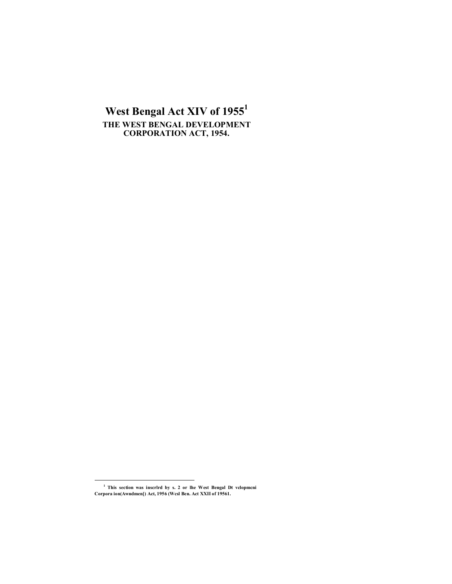# West Bengal Act XIV of 1955<sup>1</sup> THE WEST BENGAL DEVELOPMENT **CORPORATION ACT, 1954.**

 $^{\rm 1}$  This section was inscrird by s. 2 or lhe West Bengal Dt vclopmeni Corpora ion(Awndmen[) Act, 1956 (West Ben. Act XXII of 19561.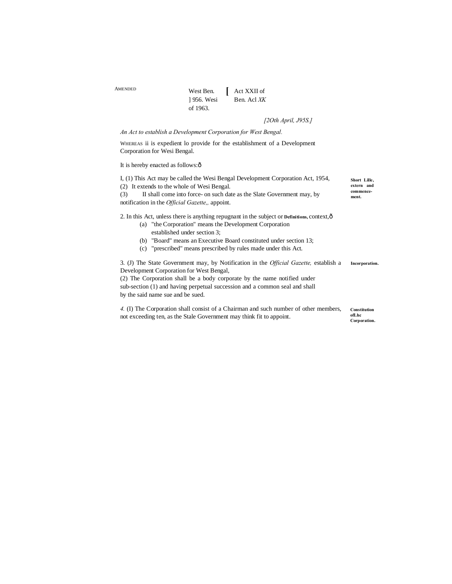| AMENDED |            | West Ben.   Act XXII of |
|---------|------------|-------------------------|
|         | 1956. Wesi | Ben. Acl XK             |
|         | of 1963.   |                         |

# *[2Oth April, J95S.]*

## *An Act to establish a Development Corporation for West Bengal.*

WHEREAS ii is expedient lo provide for the establishment of a Development Corporation for Wesi Bengal.

## It is hereby enacted as follows: $\hat{o}$

| I, (1) This Act may be called the Wesi Bengal Development Corporation Act, 1954,                     |                    |
|------------------------------------------------------------------------------------------------------|--------------------|
| (2) It extends to the whole of Wesi Bengal.                                                          |                    |
| II shall come into force- on such date as the Slate Government may, by<br>(3)                        | commence-<br>ment. |
| notification in the <i>Official Gazette</i> ,, appoint.                                              |                    |
|                                                                                                      |                    |
| 2. In this Act, unless there is anything repugnant in the subject or Definitions, context, $\hat{o}$ |                    |
| (a) "the Corporation" means the Development Corporation                                              |                    |

- established under section 3;
- (b) "Board" means an Executive Board constituted under section 13;
- (c) "prescribed" means prescribed by rules made under this Act.

**Incorporation.** 3. (J) The State Government may, by Notification in the *Official Gazette,* establish a Development Corporation for West Bengal, (2) The Corporation shall be a body corporate by the name notified under

sub-section (1) and having perpetual succession and a common seal and shall by the said name sue and be sued.

*4.* (I) The Corporation shall consist of a Chairman and such number of other members, not exceeding ten, as the Stale Government may think fit to appoint.

**Constitution ofLhc Corporation.**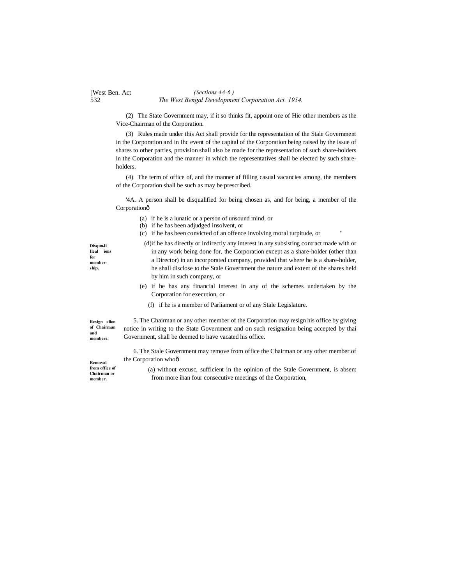### [West Ben. Act 532 *The West Bengal Development Corporation Act. 1954. (Sections 4A-6.)*

(2) The State Government may, if it so thinks fit, appoint one of Hie other members as the Vice-Chairman of the Corporation.

(3) Rules made under this Act shall provide for the representation of the Stale Government in the Corporation and in Ihc event of the capital of the Corporation being raised by the issue of shares to other parties, provision shall also be made for the representation of such share-holders in the Corporation and the manner in which the representatives shall be elected by such shareholders.

(4) The term of office of, and the manner af filling casual vacancies among, the members of the Corporation shall be such as may be prescribed.

'4A. A person shall be disqualified for being chosen as, and for being, a member of the Corporationô

- (a) if he is a lunatic or a person of unsound mind, or
- (b) if he has been adjudged insolvent, or
- (c) if he has been convicted of an offence involving moral turpitude, or "

**DisquaJi Ileal ions for membership.**

in any work being done for, the Corporation except as a share-holder (other than a Director) in an incorporated company, provided that where he is a share-holder, he shall disclose to the Stale Government the nature and extent of the shares held by him in such company, or

(d)if he has directly or indirectly any interest in any subsisting contract made with or

- (e) if he has any financial interest in any of the schemes undertaken by the Corporation for execution, or
	- (f) if he is a member of Parliament or of any Stale Legislature.

**Resign alion of Chairman and members.**

5. The Chairman or any other member of the Corporation may resign his office by giving notice in writing to the State Government and on such resignation being accepted by thai Government, shall be deemed to have vacated his office.

6. The Stale Government may remove from office the Chairman or any other member of the Corporation whoô

**Removal from office of Chairman or member.**

(a) without excusc, sufficient in the opinion of the Stale Government, is absent from more ihan four consecutive meetings of the Corporation,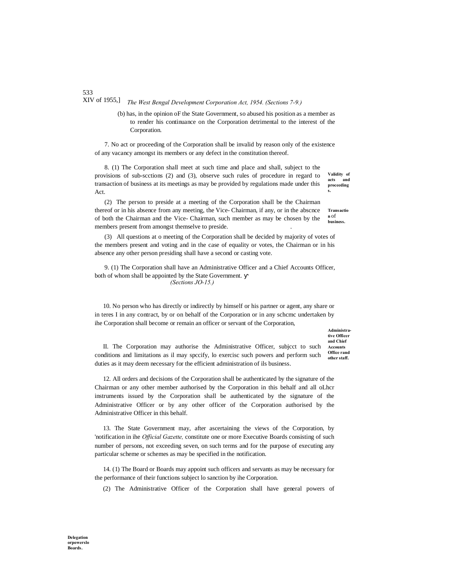### XIV of 1955,] *The West Bengal Development Corporation Act, 1954. (Sections 7-9.)*

(b) has, in the opinion oF the State Government, so abused his position as a member as to render his continuance on the Corporation detrimental to the interest of the Corporation.

7. No act or proceeding of the Corporation shall be invalid by reason only of the existence of any vacancy amongst its members or any defect in the constitution thereof.

**Validity of acts and proceeding s.** 8. (1) The Corporation shall meet at such time and place and shall, subject to the provisions of sub-scctions (2) and (3), observe such rules of procedure in regard to transaction of business at its meetings as may be provided by regulations made under this Act.

**n** of **business.** (2) The person to preside at a meeting of the Corporation shall be the Chairman thereof or in his absence from any meeting, the Vice- Chairman, if any, or in the abscnce of both the Chairman and the Vice- Chairman, such member as may be chosen by the members present from amongst themselve to preside. .

(3) All questions at o meeting of the Corporation shall be decided by majority of votes of the members present and voting and in the case of equality or votes, the Chairman or in his absence any other person presiding shall have a second or casting vote.

9. (1) The Corporation shall have an Administrative Officer and a Chief Accounts Officer, both of whom shall be appointed by the State Government. *(Sections JO-15.)*

10. No person who has directly or indirectly by himself or his partner or agent, any share or in teres I in any contract, by or on behalf of the Corporation or in any schcmc undertaken by ihe Corporation shall become or remain an officer or servant of the Corporation,

> **Administrative Officer and Chief Accounts Office rand**

**other staff.** II. The Corporation may authorise the Administrative Officer, subjcct to such conditions and limitations as il may spccify, lo exercisc such powers and perform such duties as it may deem necessary for the efficient administration of ils business.

12. All orders and decisions of the Corporation shall be authenticated by the signature of the Chairman or any other member authorised by the Corporation in this behalf and all oLhcr instruments issued by the Corporation shall be authenticated by the signature of the Administrative Officer or by any other officer of the Corporation authorised by the Administrative Officer in this behalf.

13. The State Government may, after ascertaining the views of the Corporation, by 'notification in ihe *Official Gazette,* constitute one or more Executive Boards consisting of such number of persons, not exceeding seven, on such terms and for the purpose of executing any particular scheme or schemes as may be specified in the notification.

14. (1) The Board or Boards may appoint such officers and servants as may be necessary for the performance of their functions subject lo sanction by ihe Corporation.

(2) The Administrative Officer of the Corporation shall have general powers of

533

**Transactio**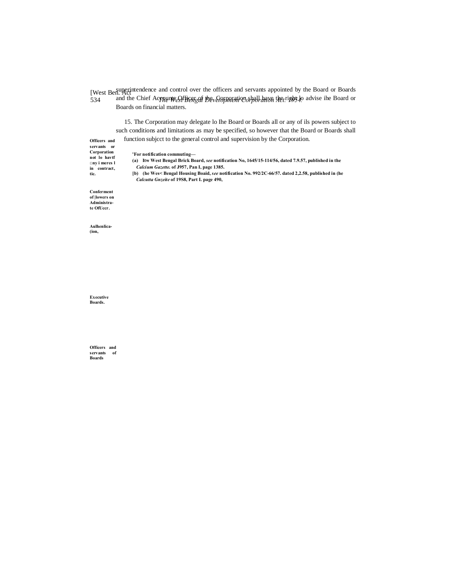[West Ben. Act 534 *The West Bengal Development Corporation Act. 1954.* superintendence and control over the officers and servants appointed by the Board or Boards and the Chief Accounts Officer of the Garnary in shall have the right lo advise ihe Board or Boards on financial matters.

15. The Corporation may delegate lo Ihe Board or Boards all or any of ils powers subject to such conditions and limitations as may be specified, so however that the Board or Boards shall function subjcct to the general control and supervision by the Corporation.

**Officers and servants or Corporation not lo havtf □ny i meres l** 

**'For notification commuting—**

**(a) Itw West Bengal Brick Board,** *see* **notification No, 1645/15-114/56, dated 7.9.57, published in the** *Calcium Gazette.* **of J957, Pan I, page 1385.**

**in contract, tic.**

**[b) (he Wes< Bengal Housing Boaid,** *see* **notification No. 992/2C-66/57. dated 2,2.58, published in (he** *Calcutta Gnzeite* **of 19S8, Part I. page 490,**

**Conferment of |lowers on Administrate OfUccr.**

**Aulhenlica- (ion,**

**Executive Boards.**

**Officers and servants of Boards**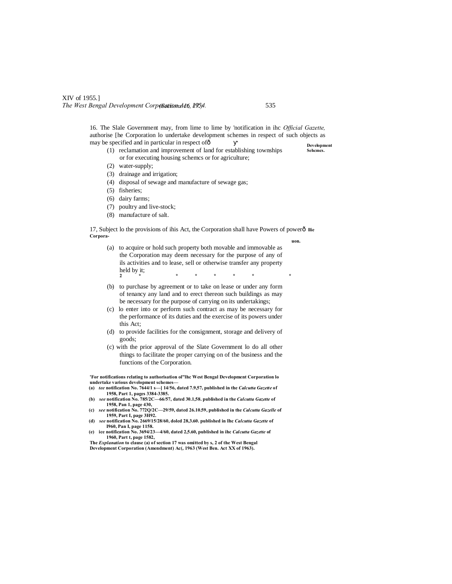# XIV of 1955.] The West Bengal Development Corposations 4th, 1954.

**Development**  16. The Slale Government may, from lime to lime by 'notification in ihc *Official Gazette,* authorise [he Corporation lo undertake development schemes in respect of such objects as may be specified and in particular in respect of  $\hat{0}$ 

- **Sehcmcs.** (1) reclamation and improvement of land for establishing townships or for executing housing schemcs or for agriculture;
- (2) water-supply;
- (3) drainage and irrigation;
- (4) disposal of sewage and manufacture of sewage gas;
- (5) fisheries;
- (6) dairy farms;
- (7) poultry and live-stock;
- (8) manufacture of salt.

17, Subject lo the provisions of ihis Act, the Corporation shall have Powers of powerô lie **Corporauon.**

- (a) to acquire or hold such property both movable and immovable as the Corporation may deem necessary for the purpose of any of ils activities and to lease, sell or otherwise transfer any property held by it; **2 \* \* \* \* \* \* \***
- (b) to purchase by agreement or to take on lease or under any form of tenancy any land and to erect thereon such buildings as may be necessary for the purpose of carrying on its undertakings;
- (c) lo enter into or perform such contract as may be necessary for the performance of its duties and the exercise of its powers under this Act;
- (d) to provide facilities for the consignment, storage and delivery of goods;
- (c) with the prior approval of the Slate Government lo do all other things to facilitate the proper carrying on of the business and the functions of the Corporation.

**'For notifications relating to authorisation ol"lhc West Bengal Development Corporation lo**   $u$ ndertake various development scheme

- **(a)** *tee* **notification No. 7644/1 s—] 14/56, dated 7.9,57, published in the** *Calcutta Gazette* **of 1958, Part 1, pages 3384-3385. (b)** *see* **notification No. 785/2C—66/57, dated 30.1,58. published in the** *Calcutta Gazette* **of**
- **1958, Pan 1, page 430,**
- **(c)** *see* **notification No. 772Q/2C—29/59, dated 26.10.59, published in the** *Calcutta Gazelle* **of 1959, Part I, page 3H92.**
- **(d)** *see* **notification No. 2669/15/28/60, doled 28,3.60. published in Ihc** *Calcutta Gazette* **of I960, Pan I, page 1158.**
- **(e) ice notification No. 3694/23—4/60, dated 2,5.60, published in ihc** *Calcutta Gazette* **of 1960, Part t, page 1582,**
- **The** *Explanation* **to clause (a) of section 17 was omitted by s, 2 of the West Bengal Development Corporation (Amendment) Ac(, 1963 (West Ben. Act XX of 1963).**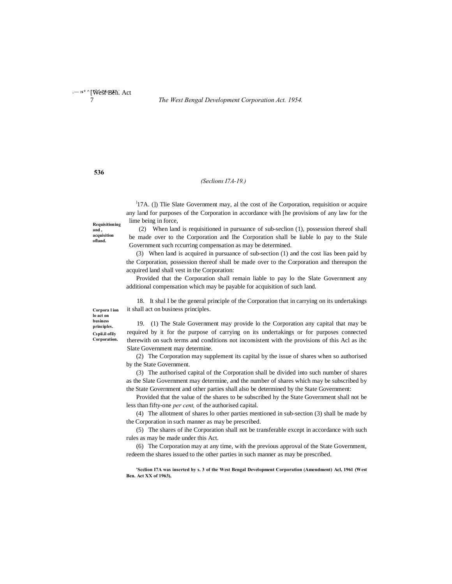**536**

## *(Seclions I7A-19.)*

<sup>1</sup>17A. (1) The Slate Government may, al the cost of ihe Corporation, requisition or acquire any land for purposes of the Corporation in accordance with [he provisions of any law for the lime being in force,

**Requisitioning and , acquisition ofland.**

(2) When land is requisitioned in pursuance of sub-seclion (1), possession thereof shall be made over to the Corporation and Ihe Corporation shall be liable lo pay to the Stale Government such rccurring compensation as may be determined.

(3) When land is acquired in pursuance of sub-section (1) and the cost lias been paid by the Corporation, possession thereof shall be made over to the Corporation and thereupon the acquired land shall vest in the Corporation:

Provided that the Corporation shall remain liable to pay lo the Slate Government any additional compensation which may be payable for acquisition of such land.

18. It shal I be the general principle of the Corporation that in carrying on its undertakings it shall act on business principles.

**Corpora l ion lo act on business principles. Cspii.il ofily Corporation.**

19. (1) The Stale Government may provide lo the Corporation any capital that may be required by it for the purpose of carrying on its undertakings or for purposes connected therewith on such terms and conditions not inconsistent with the provisions of this Acl as ihc Slate Government may determine.

(2) The Corporation may supplement its capital by the issue of shares when so authorised by the State Government.

(3) The authorised capital of the Corporation shall be divided into such number of shares as the Slate Government may determine, and the number of shares which may be subscribed by the State Government and other parties shall also be determined by the State Government:

Provided that the value of the shares to be subscribed hy the State Government shall not be less than fifty-one *per cent,* of the authorised capital.

(4) The allotment of shares lo other parties mentioned in sub-section (3) shall be made by the Corporation in such manner as may be prescribed.

(5) The shares of ihe Corporation shall not be transferable except in accordance with such rules as may be made under this Act.

(6) The Corporation may at any time, with the previous approval of the State Government, redeem the shares issued to the other parties in such manner as may be prescribed.

**'Scclion I7A was inserted by s. 3 of the West Bengal Development Corporation (Amendment) Acl, 1961 (West Ben. Act XX of 1963),**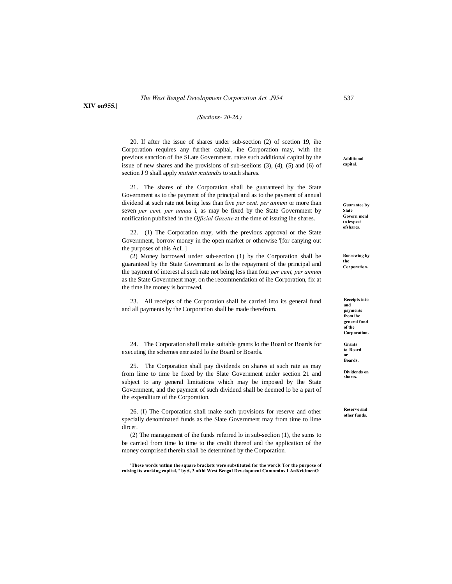**XIV on955.]**

# *(Sections- 20-26.)*

20. If after the issue of shares under sub-section (2) of scetion 19, ihe Corporation requires any further capital, ihe Corporation may, with the previous sanction of Ihe SLate Government, raise such additional capital by the issue of new shares and ihe provisions of sub-seeiions (3), (4), (5) and (6) of section J 9 shall apply *mutatis mutandis* to such shares.

21. The shares of the Corporation shall be guaranteed by the State Government as to the payment of the principal and as to the payment of annual dividend at such rate not being less than five *per cent, per annum* or more than seven *per cent, per annua* i, as may be fixed by the State Government by notification published in the *Official Gazette* at the time of issuing ihe shares.

22. (1) The Corporation may, with the previous approval or the State Government, borrow money in the open market or otherwise '[for canying out the purposes of this AcL.]

(2) Money borrowed under sub-section (1) by the Corporation shall be guaranteed by the State Government as lo the repayment of the principal and the payment of interest al such rate not being less than four *per cent, per annum* as the State Government may, on the recommendation of ihe Corporation, fix at the time ihe money is borrowed.

23. All receipts of the Corporation shall be carried into its general fund and all payments by the Corporation shall be made therefrom.

24. The Corporation shall make suitable grants lo the Board or Boards for executing the schemes entrusted lo ihe Board or Boards.

25. The Corporation shall pay dividends on shares at such rate as may from lime to time be fixed by the Slate Government under section 21 and subject to any general limitations which may be imposed by Ihe State Government, and the payment of such dividend shall be deemed lo be a part of the expenditure of the Corporation.

26. (I) The Corporation shall make such provisions for reserve and other specially denominated funds as the Slate Government may from time to lime dircet.

(2) The management of ihe funds referred lo in sub-seclion (1), the sums to be carried from time lo time to the credit thereof and the application of the money comprised therein shall be determined by the Corporation.

**'These words within the square brackets were substituted for the worcls Tor the purpose of raising its working capital," by £, 3 ofthi West Bengal Development Comnminv I AnKridmenO**

**Additional capital.**

**Guarantee by Slate Govern menl to icspcct ofsharcs.**

**Borrowing by the Corporation.**

**Receipts into and payments from ihe general fund of the Corporation.**

**Grants to Board or Boards.**

**Dividends on shares.**

**Reserve and other funds.**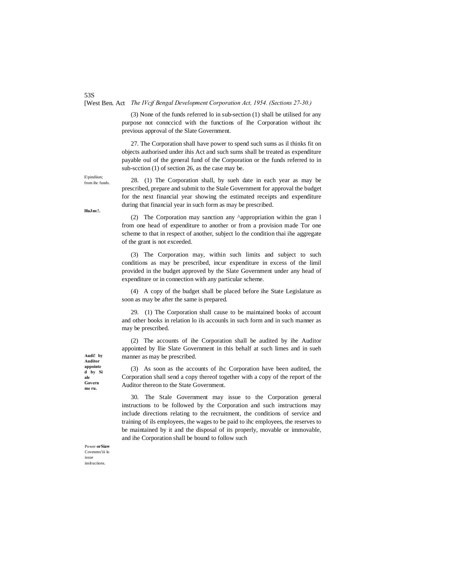# [West Ben. Act *The IVcjf Bengal Development Corporation Act, 1954. (Sections 27-30.)*

(3) None of the funds referred lo in sub-section (1) shall be utilised for any purpose not connccicd with the functions of Ihe Corporation without ihc previous approval of the Slate Government.

27. The Corporation shall have power to spend such sums as il thinks fit on objects authorised under ihis Act and such sums shall be treated as expenditure payable oul of the general fund of the Corporation or the funds referred to in sub-scction (1) of section 26, as the case may be.

28. (1) The Corporation shall, by sueh date in each year as may be prescribed, prepare and submit to the Stale Government for approval the budget for the next financial year showing the estimated receipts and expenditure during that financial year in such form as may be prescribed.

(2) The Corporation may sanction any ^appropriation within the gran l from one head of expenditure to another or from a provision made Tor one scheme to that in respect of another, subject lo the condition thai ihe aggregate of the grant is not exceeded.

(3) The Corporation may, within such limits and subject to such conditions as may be prescribed, incur expenditure in excess of the limil provided in the budget approved by the Slate Government under any head of expenditure or in connection with any particular scheme.

(4) A copy of the budget shall be placed before ihe State Legislature as soon as may be after the same is prepared.

29. (1) The Corporation shall cause to be maintained books of account and other books in relation lo ils accounls in such form and in such manner as may be prescribed.

(2) The accounts of ihe Corporation shall be audited by ihe Auditor appointed by llie Slate Government in this behalf at such limes and in sueh manner as may be prescribed.

(3) As soon as the accounts of ihc Corporation have been audited, the Corporation shall send a copy thereof together with a copy of the report of the Auditor thereon to the State Government.

30. The Stale Government may issue to the Corporation general instructions to be followed by the Corporation and such instructions may include directions relating to the recruitment, the conditions of service and training of ils employees, the wages to be paid to ihc employees, the reserves to be maintained by it and the disposal of its properly, movable or immovable, and ihe Corporation shall be bound to follow such

**Audi! by Auditor appointe d by Si ale Govern me ru.**

Power **orSiaw**  Covenmx'iii lo issue inslruciions.

**HuJm:!.**

E\pindiiun; from ihc funds.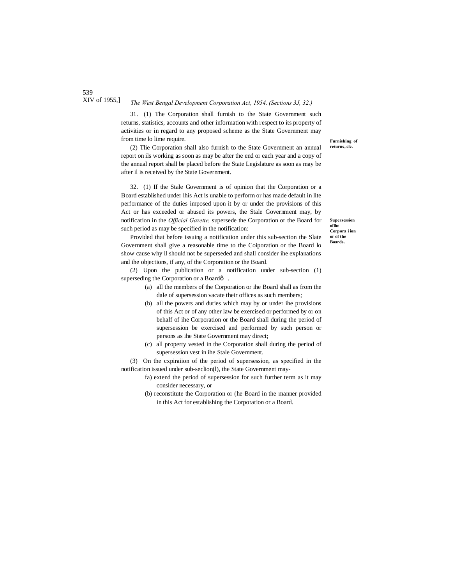#### XIV of 1955,] *The West Bengal Development Corporation Act, 1954. (Sections 3J, 32.)*

31. (1) The Corporation shall furnish to the State Government such returns, statistics, accounts and other information with respect to its property of activities or in regard to any proposed scheme as the State Government may from time lo lime require.

(2) Tlie Corporation shall also furnish to the State Government an annual report on ils working as soon as may be after the end or each year and a copy of the annual report shall be placed before the State Legislature as soon as may be after il is received by the State Government.

32. (1) If the Stale Government is of opinion that the Corporation or a Board established under ihis Act is unable to perform or has made default in lite performance of the duties imposed upon it by or under the provisions of this Act or has exceeded or abused its powers, the Stale Government may, by notification in the *Official Gazette,* supersede the Corporation or the Board for such period as may be specified in the notification:

Provided that before issuing a notification under this sub-section the Slate Government shall give a reasonable time to the Coiporation or the Board lo show cause why il should not be superseded and shall consider ihe explanations and ihe objections, if any, of the Corporation or the Board.

(2) Upon the publication or a notification under sub-section (1) superseding the Corporation or a Boardô.

- (a) all the members of the Corporation or ihe Board shall as from the dale of supersession vacate their offices as such members;
- (b) all the powers and duties which may by or under ihe provisions of this Act or of any other law be exercised or performed by or on behalf of ihe Corporation or the Board shall during the period of supersession be exercised and performed by such person or persons as ihe State Government may direct;
- (c) all property vested in the Corporation shall during the period of supersession vest in ihe Stale Government.

(3) On the cxpiraiion of the period of supersession, as specified in the notification issued under sub-seclion(l), the State Government may-

- fa) extend the period of supersession for such further term as it may consider necessary, or
- (b) reconstitute the Corporation or (he Board in the manner provided in this Act for establishing the Corporation or a Board.

**Furnishing of returns, clc.**

**Supersession oflhc Corpora i ion or of the Boards.**

539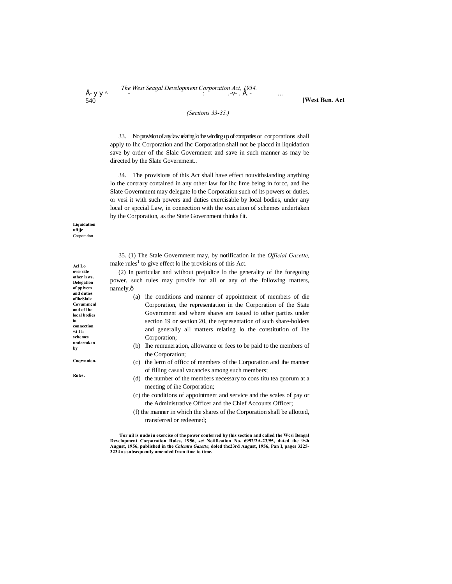# *F* - The West Seagal Development Corporation Act, 1954.<br> **E** -  $V - E$ .

**[West Ben. Act**

# *(Sections 33-35.)*

33. No provision of any law relating lo ihe winding up of companies or corporations shall apply to Ihc Corporation and Ihc Corporation shall not be placcd in liquidation save by order of the Slalc Government and save in such manner as may be directed by the Slate Government..

34. The provisions of this Act shall have effect nouvithsianding anything lo the contrary contained in any other law for ihc lime being in forcc, and ihe Slate Government may delegate lo the Corporation such of its powers or duties, or vesi it with such powers and duties exercisable by local bodies, under any local or spccial Law, in connection with the execution of schemes undertaken by the Corporation, as the State Government thinks fit.

### **Liquidation ufijjc Corporation**

540

35. (1) The Stale Government may, by notification in the *Official Gazette,* make rules<sup>1</sup> to give effect lo ihe provisions of this Act.

(2) In particular and without prejudice lo the generality of ihe foregoing power, such rules may provide for all or any of the following matters, namely, $\hat{o}$ 

- (a) ihe conditions and manner of appointment of members of die Corporation, the representation in the Corporation of the State Government and where shares are issued to other parties under section 19 or section 20, the representation of such share-holders and generally all matters relating lo the constitution of Ihe Corporation;
- (b) Ihe remuneration, allowance or fees to be paid to the members of the Corporation;
- (c) the lerm of officc of members of the Corporation and ihe manner of filling casual vacancies among such members;
- (d) the number of the members necessary to cons titu tea quorum at a meeting of ihe Corporation;
- (c) the conditions of appointment and service and the scales of pay or the Administrative Officer and the Chief Accounts Officer;
- (f) the manner in which the shares of (he Corporation shall be allotted, transferred or redeemed;

**'For nil is nude in exercise of the power conferred by (his section and called the Wcsi Bengal Development Corporation Rules, 1956,** *set* **Notification No. 6992/2A-23/55, dated the 9<h August, 1956, published in the** *Calcutta Gazette,* **doled thc23rd August, 1956, Pan I, pages 3225- 3234 as subsequently amended from time to time.**

**Acl Lo override other laws. Delegation of ppivcm and duties oflhcSlalc Covummcnl and of Ihc local bodies in connection wi I h schemes undertaken by**

**Coqwnuion.** 

**Rules.**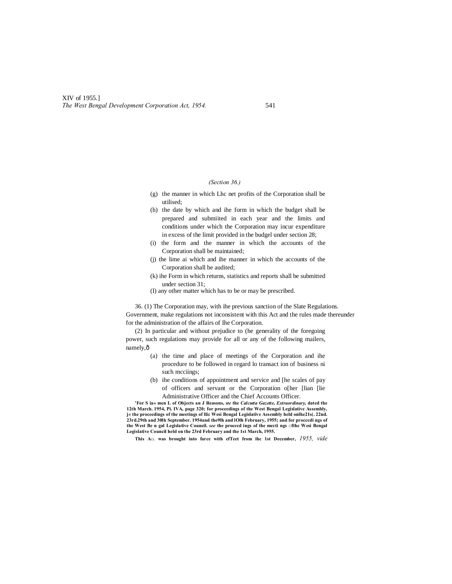# *(Section 36.)*

- (g) the manner in which Lhc net profits of the Corporation shall be utilised;
- (h) the date by which and ihe form in which the budget shall be prepared and submiited in each year and the limits and conditions under which the Corporation may incur expenditure in excess of the limit provided in the budgel under section 28;
- (i) the form and the manner in which the accounts of the Corporation shall be maintained;
- (j) the lime ai which and ihe manner in which the accounts of the Corporation shall be audited;
- (k) ihe Form in which returns, statistics and reports shall be submitted under section 31;
- (I) any other matter which has to be or may be prescribed.

36. (1) The Corporation may, with ihe previous sanction of the Slate Regulations. Government, make regulations not inconsistent with this Act and the rules made thereunder for the administration of the affairs of Ihe Corporation.

(2) In particular and without prejudice to (he generality of the foregoing power, such regulations may provide for all or any of the following mailers, namely, $\hat{o}$ 

- (a) the time and place of meetings of the Corporation and ihe procedure to be followed in regard lo transact ion of business ni such mcciings;
- (b) ihe conditions of appointment and service and [he scales of pay of officers and servant or the Corporation o[her [lian [lie Administrative Officer and the Chief Accounts Officer.

**'For S ia« men L of Objects an J Reasons,** *ste* **the** *Calcutta Gazette, Extraordinary,* **dated the 12th March. 1954, Pi. IVA, page 320; for proceedings of the West Bengal Legislative Assembly, j« the proceedings of the meetings of llic Wesi Bengal Legislative Assembly held onlhe21s(. 22nd. 23rd.29th and 30lh September. 1954and the9lh and lOlh February, 1955; and for procccdi ngs of the West Be n gal Legislative Council.** *see* **the procecd ings of the mccti ngs □fthc Wesi Bengal Legislative Council held on the 23rd February and the 1st March, 1955.**

**This A**CL **was brought into farce with efTeet from ihc 1st December,** *1955, vide*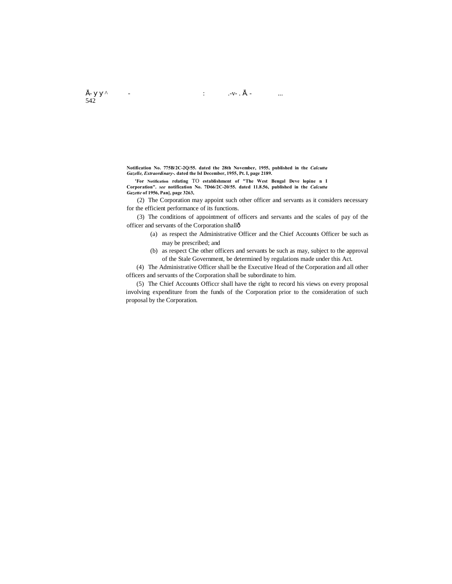**Notification No. 775B/2C-2Q/55. dated the 28th November, 1955, published in the** *Calcutta Gazelle, Extraordinary-.* **dated the Isl December, 1955, Pt. I, page 2189.**

**'For Notification relating** TO **establishment of "The West Bengal Deve lopine n I Corporation".** *see* **notification No. 7D66/2C-20/55. dated 11.8.56, published in the** *Calcutta Gazette* **of 1956, Pan], page 3263,**

(2) The Corporation may appoint such other officer and servants as it considers necessary for the efficient performance of its functions.

(3) The conditions of appointment of officers and servants and the scales of pay of the officer and servants of the Corporation shall—

- (a) as respect the Administrative Officer and the Chief Accounts Officer be such as may be prescribed; and
- (b) as respect Che other officers and servants be such as may, subject to the approval of the Stale Government, be determined by regulations made under this Act.

(4) The Administrative Officer shall be the Executive Head of the Corporation and all other officers and servants of the Corporation shall be subordinate to him.

(5) The Chief Accounts Officcr shall have the right to record his views on every proposal involving expenditure from the funds of the Corporation prior to the consideration of such proposal by the Corporation.